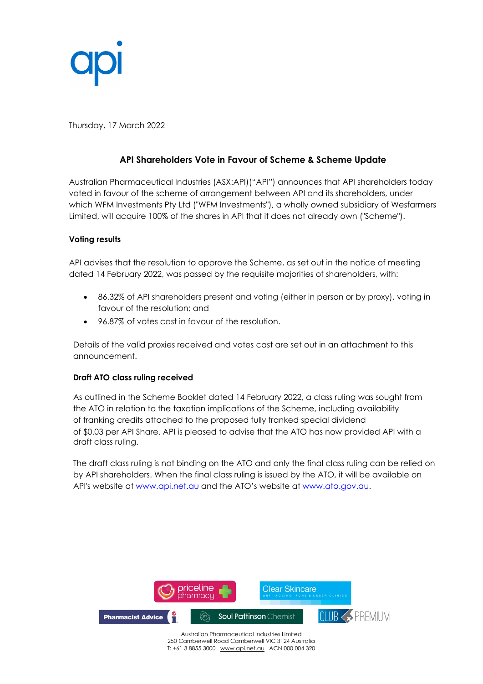

Thursday, 17 March 2022

# **API Shareholders Vote in Favour of Scheme & Scheme Update**

Australian Pharmaceutical Industries (ASX:API)("API") announces that API shareholders today voted in favour of the scheme of arrangement between API and its shareholders, under which WFM Investments Pty Ltd ("WFM Investments"), a wholly owned subsidiary of Wesfarmers Limited, will acquire 100% of the shares in API that it does not already own ("Scheme").

# **Voting results**

API advises that the resolution to approve the Scheme, as set out in the notice of meeting dated 14 February 2022, was passed by the requisite majorities of shareholders, with:

- 86.32% of API shareholders present and voting (either in person or by proxy), voting in favour of the resolution; and
- 96.87% of votes cast in favour of the resolution.

Details of the valid proxies received and votes cast are set out in an attachment to this announcement.

# **Draft ATO class ruling received**

As outlined in the Scheme Booklet dated 14 February 2022, a class ruling was sought from the ATO in relation to the taxation implications of the Scheme, including availability of franking credits attached to the proposed fully franked special dividend of \$0.03 per API Share. API is pleased to advise that the ATO has now provided API with a draft class ruling.

The draft class ruling is not binding on the ATO and only the final class ruling can be relied on by API shareholders. When the final class ruling is issued by the ATO, it will be available on API's website at [www.api.net.au](http://www.api.net.au/) and the ATO's website at [www.ato.gov.au.](http://www.ato.gov.au/)



250 Camberwell Road Camberwell VIC 3124 Australia T: +61 3 8855 3000 [www.api.net.au](http://www.api.net.au/) ACN 000 004 320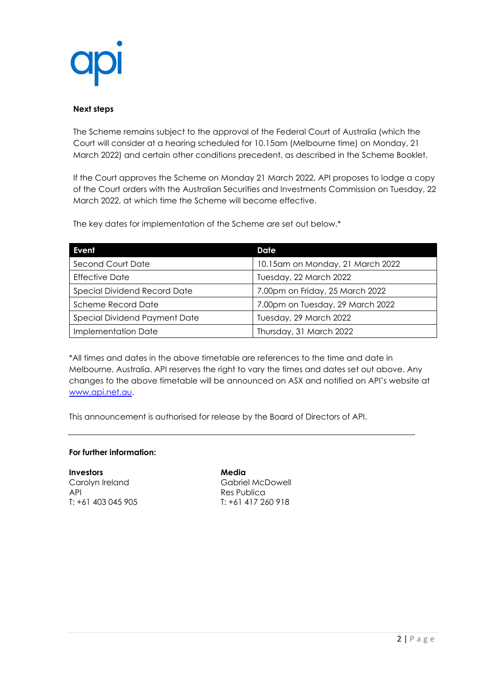

### **Next steps**

The Scheme remains subject to the approval of the Federal Court of Australia (which the Court will consider at a hearing scheduled for 10.15am (Melbourne time) on Monday, 21 March 2022) and certain other conditions precedent, as described in the Scheme Booklet.

If the Court approves the Scheme on Monday 21 March 2022, API proposes to lodge a copy of the Court orders with the Australian Securities and Investments Commission on Tuesday, 22 March 2022, at which time the Scheme will become effective.

The key dates for implementation of the Scheme are set out below.\*

| Event                         | Date                             |
|-------------------------------|----------------------------------|
| Second Court Date             | 10.15am on Monday, 21 March 2022 |
| <b>Effective Date</b>         | Tuesday, 22 March 2022           |
| Special Dividend Record Date  | 7.00pm on Friday, 25 March 2022  |
| <b>Scheme Record Date</b>     | 7.00pm on Tuesday, 29 March 2022 |
| Special Dividend Payment Date | Tuesday, 29 March 2022           |
| Implementation Date           | Thursday, 31 March 2022          |

\*All times and dates in the above timetable are references to the time and date in Melbourne, Australia. API reserves the right to vary the times and dates set out above. Any changes to the above timetable will be announced on ASX and notified on API's website at [www.api.net.au.](http://www.api.net.au/)

This announcement is authorised for release by the Board of Directors of API.

#### **For further information:**

**Investors Media** API Res Publica<br>
T: +61 403 045 905 T: +61 417 20

Carolyn Ireland Gabriel McDowell T: +61 417 260 918